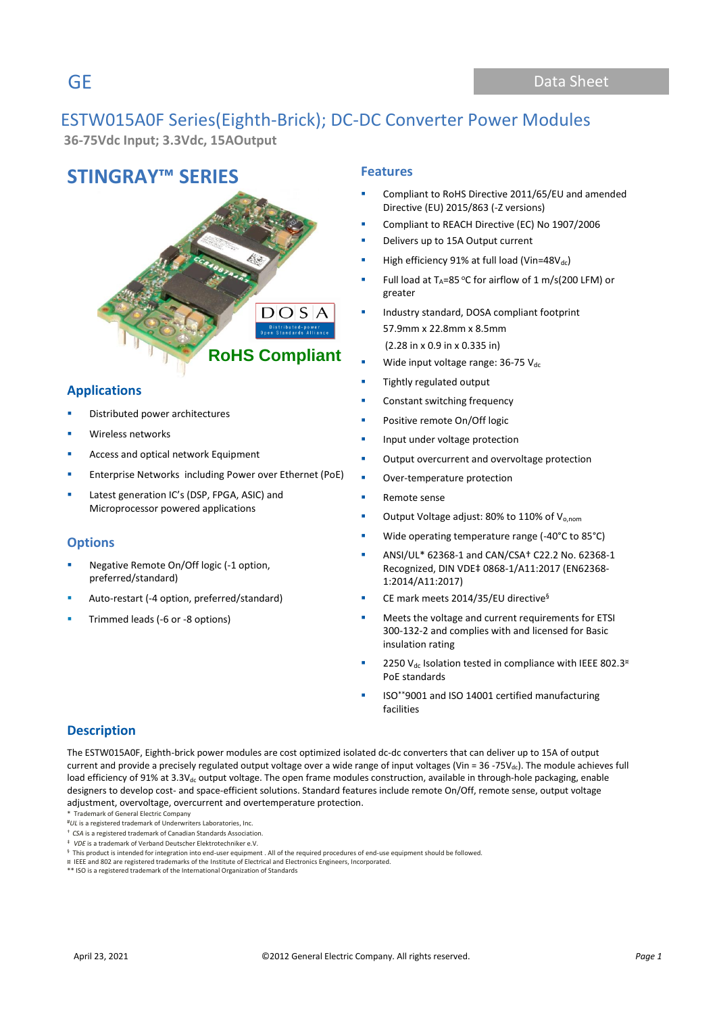# ESTW015A0F Series(Eighth-Brick); DC-DC Converter Power Modules

**36-75Vdc Input; 3.3Vdc, 15AOutput**

## **STINGRAY™ SERIES Features**



## **Applications**

- Distributed power architectures
- Wireless networks
- Access and optical network Equipment
- Enterprise Networks including Power over Ethernet (PoE)
- Latest generation IC's (DSP, FPGA, ASIC) and Microprocessor powered applications

### **Options**

- Negative Remote On/Off logic (-1 option, preferred/standard)
- Auto-restart (-4 option, preferred/standard)
- Trimmed leads (-6 or -8 options)

- Compliant to RoHS Directive 2011/65/EU and amended Directive (EU) 2015/863 (-Z versions)
- Compliant to REACH Directive (EC) No 1907/2006
- Delivers up to 15A Output current
- High efficiency 91% at full load (Vin=48V $_{dc}$ )
- Full load at  $T_A=85$  °C for airflow of 1 m/s(200 LFM) or greater
- Industry standard, DOSA compliant footprint 57.9mm x 22.8mm x 8.5mm (2.28 in x 0.9 in x 0.335 in)
- Wide input voltage range:  $36-75$  Vdc
- Tightly regulated output
- Constant switching frequency
- Positive remote On/Off logic
- Input under voltage protection
- Output overcurrent and overvoltage protection
- Over-temperature protection
- Remote sense
- Output Voltage adjust: 80% to 110% of V<sub>o,nom</sub>
- Wide operating temperature range (-40 $^{\circ}$ C to 85 $^{\circ}$ C)
- ANSI/UL\* 62368-1 and CAN/CSA† C22.2 No. 62368-1 Recognized, DIN VDE‡ 0868-1/A11:2017 (EN62368- 1:2014/A11:2017)
- CE mark meets 2014/35/EU directive<sup>§</sup>
- Meets the voltage and current requirements for ETSI 300-132-2 and complies with and licensed for Basic insulation rating
- 2250 Vdc Isolation tested in compliance with IEEE 802.3 $^{\text{H}}$ PoE standards
- ISO\*\*9001 and ISO 14001 certified manufacturing facilities

### **Description**

The ESTW015A0F, Eighth-brick power modules are cost optimized isolated dc-dc converters that can deliver up to 15A of output current and provide a precisely regulated output voltage over a wide range of input voltages (Vin = 36 -75V $_{dc}$ ). The module achieves full load efficiency of 91% at 3.3V<sub>dc</sub> output voltage. The open frame modules construction, available in through-hole packaging, enable designers to develop cost- and space-efficient solutions. Standard features include remote On/Off, remote sense, output voltage adjustment, overvoltage, overcurrent and overtemperature protection.

\* Trademark of General Electric Company

<sup>#</sup>*UL* is a registered trademark of Underwriters Laboratories, Inc.

<sup>†</sup> *CSA* is a registered trademark of Canadian Standards Association.

<sup>‡</sup> *VDE* is a trademark of Verband Deutscher Elektrotechniker e.V.

<sup>∮</sup> This product is intended for integration into end-user equipment . All of the required procedures of end-use equipment should be followed.<br>¤ IEEE and 802 are registered trademarks of the Institute of Electrical and Ele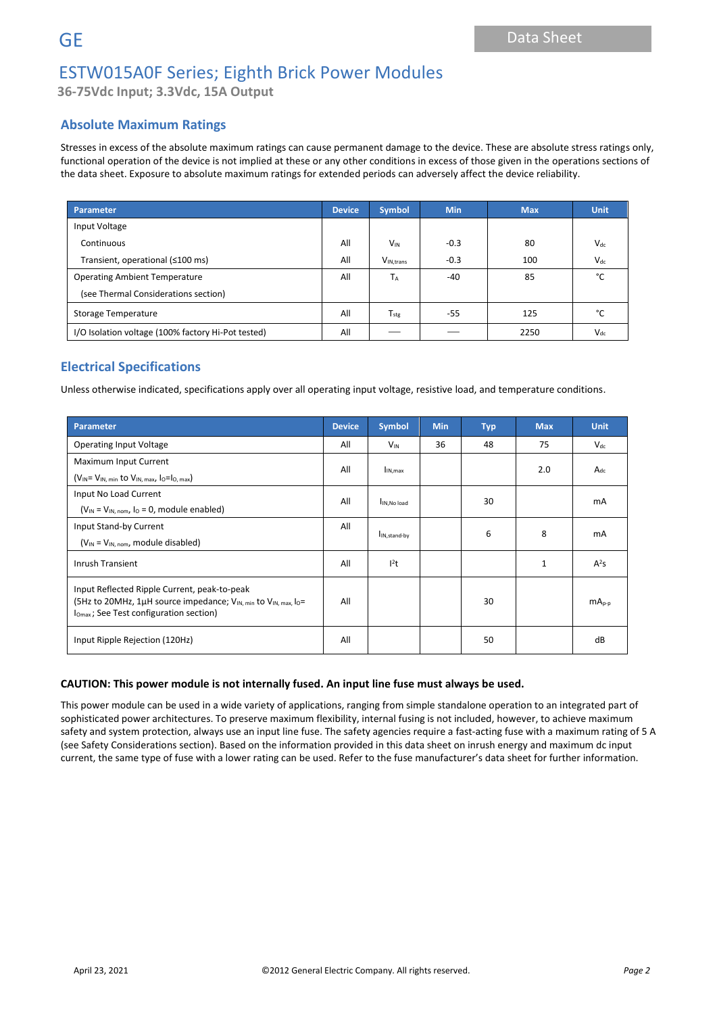**36-75Vdc Input; 3.3Vdc, 15A Output**

### **Absolute Maximum Ratings**

Stresses in excess of the absolute maximum ratings can cause permanent damage to the device. These are absolute stress ratings only, functional operation of the device is not implied at these or any other conditions in excess of those given in the operations sections of the data sheet. Exposure to absolute maximum ratings for extended periods can adversely affect the device reliability.

| Parameter                                          | <b>Device</b> | <b>Symbol</b>         | <b>Min</b> | <b>Max</b> | <b>Unit</b>   |
|----------------------------------------------------|---------------|-----------------------|------------|------------|---------------|
| Input Voltage                                      |               |                       |            |            |               |
| Continuous                                         | All           | <b>V<sub>IN</sub></b> | $-0.3$     | 80         | $V_{dc}$      |
| Transient, operational (≤100 ms)                   | All           | V <sub>IN.trans</sub> | $-0.3$     | 100        | $V_{dc}$      |
| <b>Operating Ambient Temperature</b>               |               | TA                    | -40        | 85         | $\mathcal{C}$ |
| (see Thermal Considerations section)               |               |                       |            |            |               |
| Storage Temperature                                |               | $T_{\text{stg}}$      | $-55$      | 125        | $\sim$        |
| I/O Isolation voltage (100% factory Hi-Pot tested) | All           |                       |            | 2250       | $V_{dc}$      |

### **Electrical Specifications**

Unless otherwise indicated, specifications apply over all operating input voltage, resistive load, and temperature conditions.

| Parameter                                                                                                                                                                                      |     | <b>Symbol</b>            | <b>Min</b> | <b>Typ</b> | <b>Max</b>   | <b>Unit</b> |
|------------------------------------------------------------------------------------------------------------------------------------------------------------------------------------------------|-----|--------------------------|------------|------------|--------------|-------------|
| <b>Operating Input Voltage</b>                                                                                                                                                                 | All | $V_{IN}$                 | 36         | 48         | 75           | $V_{dc}$    |
| Maximum Input Current                                                                                                                                                                          | All | I <sub>IN, max</sub>     |            |            | 2.0          | $A_{dc}$    |
| $(V_{IN} = V_{IN, min}$ to $V_{IN, max}$ , $I_0 = I_{O, max}$ )                                                                                                                                |     |                          |            |            |              |             |
| Input No Load Current                                                                                                                                                                          | All | IN.No load               |            | 30         |              | mA          |
| $(V_{IN} = V_{IN, nom, 10} = 0$ , module enabled)                                                                                                                                              |     |                          |            |            |              |             |
| Input Stand-by Current                                                                                                                                                                         | All | I <sub>IN,stand-by</sub> |            | 6          | 8            | mA          |
| $(V_{IN} = V_{IN, nom}$ , module disabled)                                                                                                                                                     |     |                          |            |            |              |             |
| <b>Inrush Transient</b>                                                                                                                                                                        |     | $l^2t$                   |            |            | $\mathbf{1}$ | $A^2S$      |
| Input Reflected Ripple Current, peak-to-peak<br>(5Hz to 20MHz, 1µH source impedance; V <sub>IN, min</sub> to V <sub>IN, max, lo</sub> =<br>I <sub>Omax</sub> ; See Test configuration section) | All |                          |            | 30         |              | $mA_{p-p}$  |
| Input Ripple Rejection (120Hz)                                                                                                                                                                 | All |                          |            | 50         |              | dB          |

#### **CAUTION: This power module is not internally fused. An input line fuse must always be used.**

This power module can be used in a wide variety of applications, ranging from simple standalone operation to an integrated part of sophisticated power architectures. To preserve maximum flexibility, internal fusing is not included, however, to achieve maximum safety and system protection, always use an input line fuse. The safety agencies require a fast-acting fuse with a maximum rating of 5 A (see Safety Considerations section). Based on the information provided in this data sheet on inrush energy and maximum dc input current, the same type of fuse with a lower rating can be used. Refer to the fuse manufacturer's data sheet for further information.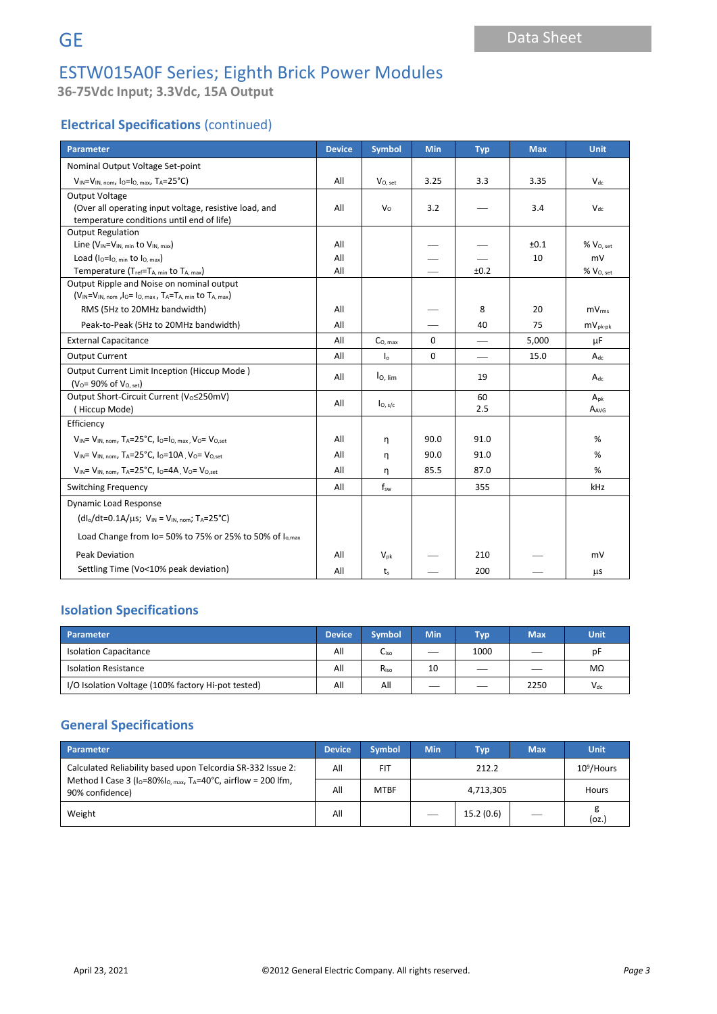**36-75Vdc Input; 3.3Vdc, 15A Output**

## **Electrical Specifications** (continued)

| Parameter                                                                           | <b>Device</b> | Symbol               | <b>Min</b> | <b>Typ</b> | <b>Max</b> | <b>Unit</b>           |          |
|-------------------------------------------------------------------------------------|---------------|----------------------|------------|------------|------------|-----------------------|----------|
| Nominal Output Voltage Set-point                                                    |               |                      |            |            |            |                       |          |
| $V_{IN} = V_{IN, nom, 10} = I_{O, max}$ , TA=25°C)                                  | All           | V <sub>O</sub> , set | 3.25       | 3.3        | 3.35       | $V_{dc}$              |          |
| Output Voltage                                                                      |               |                      |            |            |            |                       |          |
| (Over all operating input voltage, resistive load, and                              | All           | $V_0$                | 3.2        |            | 3.4        | $V_{dc}$              |          |
| temperature conditions until end of life)                                           |               |                      |            |            |            |                       |          |
| <b>Output Regulation</b>                                                            |               |                      |            |            |            |                       |          |
| Line $(V_{IN} = V_{IN, min}$ to $V_{IN, max}$ )                                     | All           |                      |            |            | ±0.1       | % V <sub>O, set</sub> |          |
| Load $(I_0 = I_0$ , min to $I_0$ , max)                                             | All           |                      |            |            | 10         | mV                    |          |
| Temperature (Tref=TA, min to TA, max)                                               | All           |                      |            | ±0.2       |            | $%$ $V0. set$         |          |
| Output Ripple and Noise on nominal output                                           |               |                      |            |            |            |                       |          |
| (VIN=VIN, nom , lo= lo, max, TA=TA, min to TA, max)                                 |               |                      |            |            |            |                       |          |
| RMS (5Hz to 20MHz bandwidth)                                                        | All           |                      |            | 8          | 20         | mV <sub>rms</sub>     |          |
| Peak-to-Peak (5Hz to 20MHz bandwidth)                                               |               |                      |            | 40         | 75         | $mV_{pk-pk}$          |          |
| <b>External Capacitance</b>                                                         |               | C <sub>0. max</sub>  | $\Omega$   |            | 5,000      | μF                    |          |
| <b>Output Current</b>                                                               |               | I <sub>o</sub>       | 0          |            | 15.0       | $A_{dc}$              |          |
| Output Current Limit Inception (Hiccup Mode)                                        | All           | I <sub>O, lim</sub>  |            | 19         |            | $A_{dc}$              |          |
| $(V_0 = 90\% \text{ of } V_{0. \text{ set}})$                                       |               |                      |            |            |            |                       |          |
| Output Short-Circuit Current (Vo≤250mV)                                             |               | All                  |            |            | 60         |                       | $A_{nk}$ |
| (Hiccup Mode)                                                                       |               | I <sub>O, s/c</sub>  |            | 2.5        |            | AAVG                  |          |
| Efficiency                                                                          |               |                      |            |            |            |                       |          |
| $V_{IN} = V_{IN.}$ nom, $T_A = 25^\circ C$ , $I_0 = I_{O.}$ max, $V_0 = V_{O.}$ set | All           | n                    | 90.0       | 91.0       |            | %                     |          |
| $V_{1N} = V_{1N, nom}$ , T <sub>A</sub> =25°C, $I_0$ =10A, $V_0 = V_{0, set}$       | All           | n                    | 90.0       | 91.0       |            | %                     |          |
| $V_{IN} = V_{IN. nom}$ , TA=25°C, Io=4A, Vo= Vo.set                                 |               | n                    | 85.5       | 87.0       |            | %                     |          |
| <b>Switching Frequency</b>                                                          |               | $f_{sw}$             |            | 355        |            | kHz                   |          |
| <b>Dynamic Load Response</b>                                                        |               |                      |            |            |            |                       |          |
| $(dI_0/dt=0.1A/us; V_{IN} = V_{IN. nom}; T_A=25°C)$                                 |               |                      |            |            |            |                       |          |
| Load Change from Io= 50% to 75% or 25% to 50% of I <sub>o,max</sub>                 |               |                      |            |            |            |                       |          |
| <b>Peak Deviation</b>                                                               | All           | $V_{pk}$             |            | 210        |            | mV                    |          |
| Settling Time (Vo<10% peak deviation)                                               | All           | t <sub>s</sub>       |            | 200        |            | μs                    |          |

### **Isolation Specifications**

| Parameter<br><b>Device</b>                         |  | <b>Symbol</b> | <b>Min</b> | <b>Typ</b> | <b>Max</b> | <b>Unit</b> |
|----------------------------------------------------|--|---------------|------------|------------|------------|-------------|
| <b>Isolation Capacitance</b>                       |  | Liso          |            | 1000       | __         | рF          |
| <b>Isolation Resistance</b>                        |  | $R_{iso}$     | 10         | ___        |            | МΩ          |
| I/O Isolation Voltage (100% factory Hi-pot tested) |  | All           |            | __         | 2250       | $V_{dc}$    |

### **General Specifications**

| Parameter                                                                                                                                                          |     | <b>Symbol</b> | <b>Min</b> | Typ       | <b>Max</b> | <b>Unit</b>   |
|--------------------------------------------------------------------------------------------------------------------------------------------------------------------|-----|---------------|------------|-----------|------------|---------------|
| Calculated Reliability based upon Telcordia SR-332 Issue 2:<br>Method I Case 3 ( $I_0$ =80% $I_0$ max, T <sub>A</sub> =40°C, airflow = 200 lfm,<br>90% confidence) |     | <b>FIT</b>    | 212.2      |           |            | $10^9$ /Hours |
|                                                                                                                                                                    |     | <b>MTBF</b>   | 4,713,305  |           |            | Hours         |
| Weight                                                                                                                                                             | All |               | $\sim$     | 15.2(0.6) |            | (oz.          |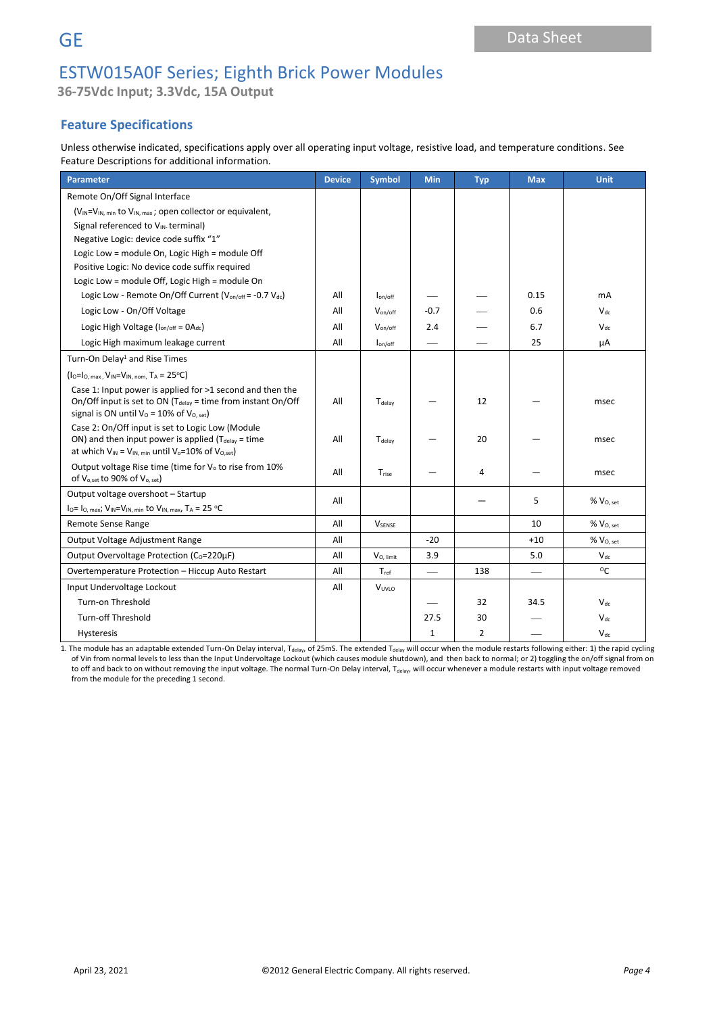# **GE** Data Sheet

## ESTW015A0F Series; Eighth Brick Power Modules

**36-75Vdc Input; 3.3Vdc, 15A Output**

## **Feature Specifications**

Unless otherwise indicated, specifications apply over all operating input voltage, resistive load, and temperature conditions. See Feature Descriptions for additional information.

| <b>Parameter</b>                                                                                                                                                                          | <b>Device</b> | <b>Symbol</b>      | Min          | <b>Typ</b>     | <b>Max</b> | <b>Unit</b>           |
|-------------------------------------------------------------------------------------------------------------------------------------------------------------------------------------------|---------------|--------------------|--------------|----------------|------------|-----------------------|
| Remote On/Off Signal Interface                                                                                                                                                            |               |                    |              |                |            |                       |
| (V <sub>IN</sub> =V <sub>IN, min</sub> to V <sub>IN, max</sub> ; open collector or equivalent,                                                                                            |               |                    |              |                |            |                       |
| Signal referenced to V <sub>IN</sub> terminal)                                                                                                                                            |               |                    |              |                |            |                       |
| Negative Logic: device code suffix "1"                                                                                                                                                    |               |                    |              |                |            |                       |
| Logic Low = module On, Logic High = module Off                                                                                                                                            |               |                    |              |                |            |                       |
| Positive Logic: No device code suffix required                                                                                                                                            |               |                    |              |                |            |                       |
| Logic Low = module Off, Logic High = module On                                                                                                                                            |               |                    |              |                |            |                       |
| Logic Low - Remote On/Off Current (Von/off = -0.7 Vdc)                                                                                                                                    | All           | $I_{on/off}$       |              |                | 0.15       | mA                    |
| Logic Low - On/Off Voltage                                                                                                                                                                | All           | $V_{on/off}$       | $-0.7$       |                | 0.6        | $V_{dc}$              |
| Logic High Voltage ( $I_{on/off} = OA_{dc}$ )                                                                                                                                             | All           | Von/off            | 2.4          |                | 6.7        | $V_{dc}$              |
| Logic High maximum leakage current                                                                                                                                                        | All           | $I_{on/off}$       |              |                | 25         | μA                    |
| Turn-On Delay <sup>1</sup> and Rise Times                                                                                                                                                 |               |                    |              |                |            |                       |
| $(1_0=1_0, max, V_{IN}=V_{IN, nom}, T_A = 25^{\circ}C)$                                                                                                                                   |               |                    |              |                |            |                       |
| Case 1: Input power is applied for >1 second and then the<br>On/Off input is set to ON (T <sub>delay</sub> = time from instant On/Off<br>signal is ON until $V_0$ = 10% of $V_{O, set}$ ) |               | T <sub>delav</sub> |              | 12             |            | msec                  |
| Case 2: On/Off input is set to Logic Low (Module<br>ON) and then input power is applied ( $T_{delay}$ = time<br>at which $V_{IN} = V_{IN. min}$ until $V_o = 10\%$ of $V_{O. set}$        |               | T <sub>delav</sub> |              | 20             |            | msec                  |
| Output voltage Rise time (time for V <sub>o</sub> to rise from 10%<br>of V <sub>o,set</sub> to 90% of V <sub>o, set</sub> )                                                               | All           | Trise              |              | 4              |            | msec                  |
| Output voltage overshoot - Startup<br>$I_0 = I_0$ , max; $V_{IN} = V_{IN}$ , min to $V_{IN}$ , max, $T_A = 25 °C$                                                                         | All           |                    |              |                | 5          | % V <sub>O, set</sub> |
| Remote Sense Range                                                                                                                                                                        | All           | <b>VSENSE</b>      |              |                | 10         | $%$ $VO, set$         |
| Output Voltage Adjustment Range                                                                                                                                                           | All           |                    | $-20$        |                | $+10$      | $%$ $VO. set$         |
| Output Overvoltage Protection (Co=220uF)                                                                                                                                                  |               | $V_{O, limit}$     | 3.9          |                | 5.0        | $V_{dc}$              |
| Overtemperature Protection - Hiccup Auto Restart                                                                                                                                          |               | $T_{ref}$          |              | 138            |            | $^{\circ}$ C          |
| Input Undervoltage Lockout                                                                                                                                                                |               | VUVLO              |              |                |            |                       |
| Turn-on Threshold                                                                                                                                                                         |               |                    |              | 32             | 34.5       | $V_{dc}$              |
| <b>Turn-off Threshold</b>                                                                                                                                                                 |               |                    | 27.5         | 30             |            | $V_{dc}$              |
| Hysteresis                                                                                                                                                                                |               |                    | $\mathbf{1}$ | $\overline{2}$ |            | $V_{dc}$              |

1. The module has an adaptable extended Turn-On Delay interval, T<sub>delay</sub>, of 25mS. The extended T<sub>delay</sub> will occur when the module restarts following either: 1) the rapid cycling of Vin from normal levels to less than the Input Undervoltage Lockout (which causes module shutdown), and then back to normal; or 2) toggling the on/off signal from on to off and back to on without removing the input voltage. The normal Turn-On Delay interval, T<sub>delay</sub>, will occur whenever a module restarts with input voltage removed from the module for the preceding 1 second.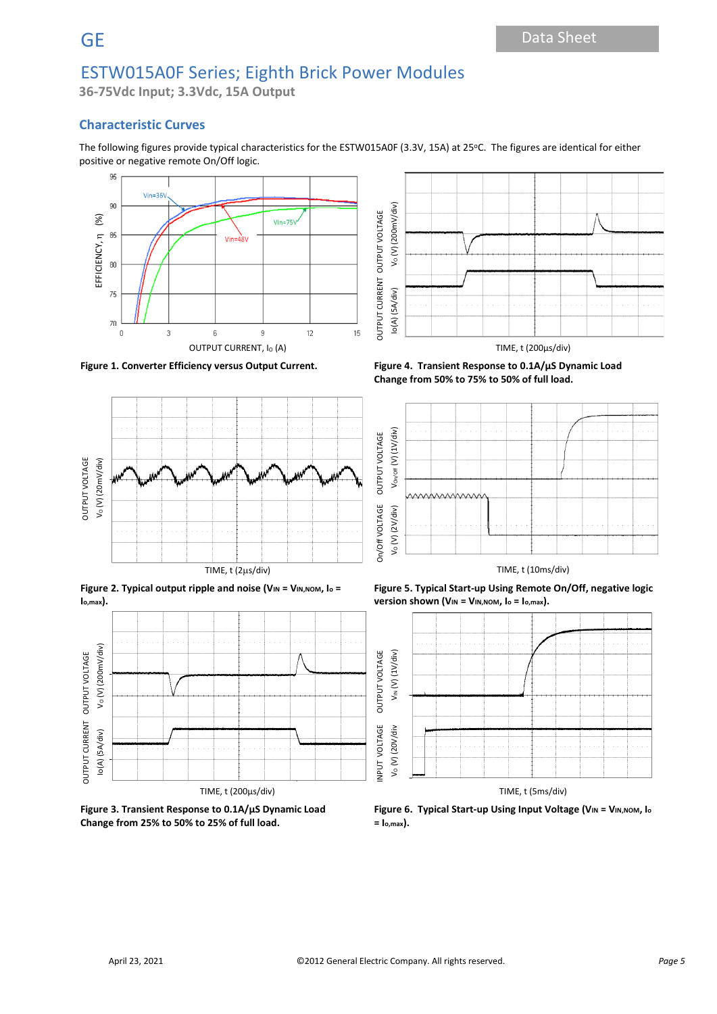**36-75Vdc Input; 3.3Vdc, 15A Output**

### **Characteristic Curves**

The following figures provide typical characteristics for the ESTW015A0F (3.3V, 15A) at 25°C. The figures are identical for either positive or negative remote On/Off logic.







**Figure 3. Transient Response to 0.1A/µS Dynamic Load Change from 25% to 50% to 25% of full load.**



**Figure 1. Converter Efficiency versus Output Current. Figure 4. Transient Response to 0.1A/µS Dynamic Load Change from 50% to 75% to 50% of full load.**



**Figure 5. Typical Start-up Using Remote On/Off, negative logic version shown (VIN = VIN,NOM, I<sup>o</sup> = Io,max).**



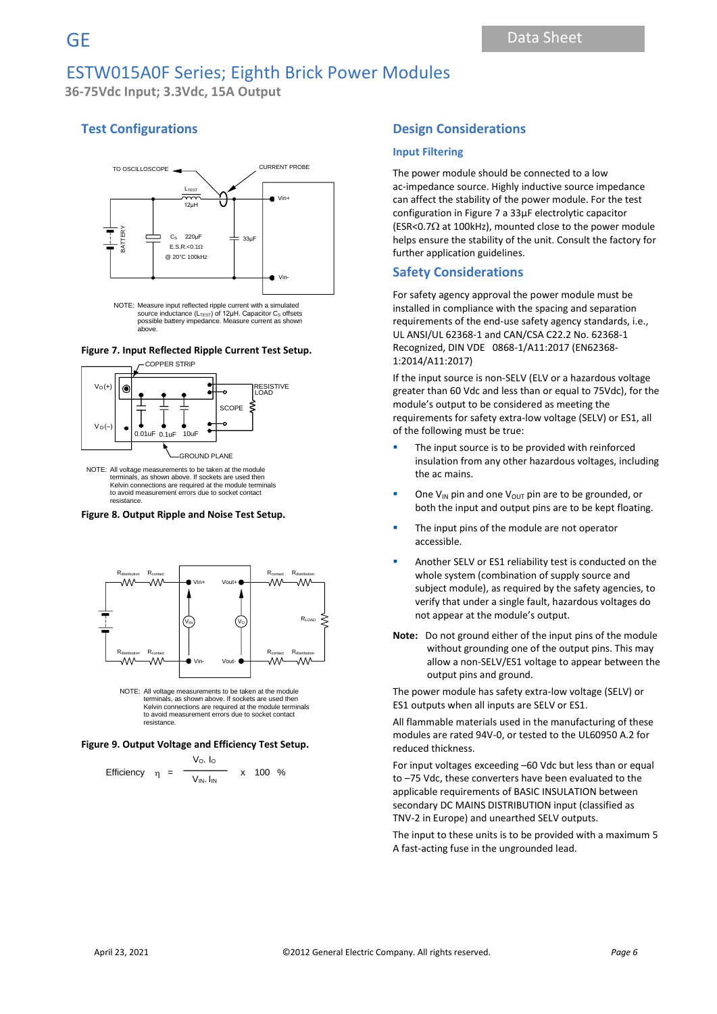**36-75Vdc Input; 3.3Vdc, 15A Output**

### **Test Configurations**



NOTE: Measure input reflected ripple current with a simulated source inductance (L<sub>TEsT</sub>) of 12μH. Capacitor C<sub>s</sub> offsets<br>possible battery impedance. Measure current as shown above.

#### **Figure 7. Input Reflected Ripple Current Test Setup.**



NOTE: All voltage measurements to be taken at the module terminals, as shown above. If sockets are used then Kelvin connections are required at the module terminals to avoid measurement errors due to socket contact resistance.

#### **Figure 8. Output Ripple and Noise Test Setup.**



NOTE: All voltage measurements to be taken at the module terminals, as shown above. If sockets are used then Kelvin connections are required at the module terminals to avoid measurement errors due to socket contact resistance.

#### **Figure 9. Output Voltage and Efficiency Test Setup.**

Efficiency 
$$
\eta = \frac{V_o I_o}{V_{IN} I_{IN}} \times 100 %
$$

#### **Design Considerations**

#### **Input Filtering**

The power module should be connected to a low ac-impedance source. Highly inductive source impedance can affect the stability of the power module. For the test configuration in Figure 7 a 33μF electrolytic capacitor (ESR<0.7 $\Omega$  at 100kHz), mounted close to the power module helps ensure the stability of the unit. Consult the factory for further application guidelines.

#### **Safety Considerations**

For safety agency approval the power module must be installed in compliance with the spacing and separation requirements of the end-use safety agency standards, i.e., UL ANSI/UL 62368-1 and CAN/CSA C22.2 No. 62368-1 Recognized, DIN VDE 0868-1/A11:2017 (EN62368- 1:2014/A11:2017)

If the input source is non-SELV (ELV or a hazardous voltage greater than 60 Vdc and less than or equal to 75Vdc), for the module's output to be considered as meeting the requirements for safety extra-low voltage (SELV) or ES1, all of the following must be true:

- The input source is to be provided with reinforced insulation from any other hazardous voltages, including the ac mains.
- One V<sub>IN</sub> pin and one V<sub>OUT</sub> pin are to be grounded, or both the input and output pins are to be kept floating.
- The input pins of the module are not operator accessible.
- Another SELV or ES1 reliability test is conducted on the whole system (combination of supply source and subject module), as required by the safety agencies, to verify that under a single fault, hazardous voltages do not appear at the module's output.
- **Note:** Do not ground either of the input pins of the module without grounding one of the output pins. This may allow a non-SELV/ES1 voltage to appear between the output pins and ground.

The power module has safety extra-low voltage (SELV) or ES1 outputs when all inputs are SELV or ES1.

All flammable materials used in the manufacturing of these modules are rated 94V-0, or tested to the UL60950 A.2 for reduced thickness.

For input voltages exceeding –60 Vdc but less than or equal to –75 Vdc, these converters have been evaluated to the applicable requirements of BASIC INSULATION between secondary DC MAINS DISTRIBUTION input (classified as TNV-2 in Europe) and unearthed SELV outputs.

The input to these units is to be provided with a maximum 5 A fast-acting fuse in the ungrounded lead.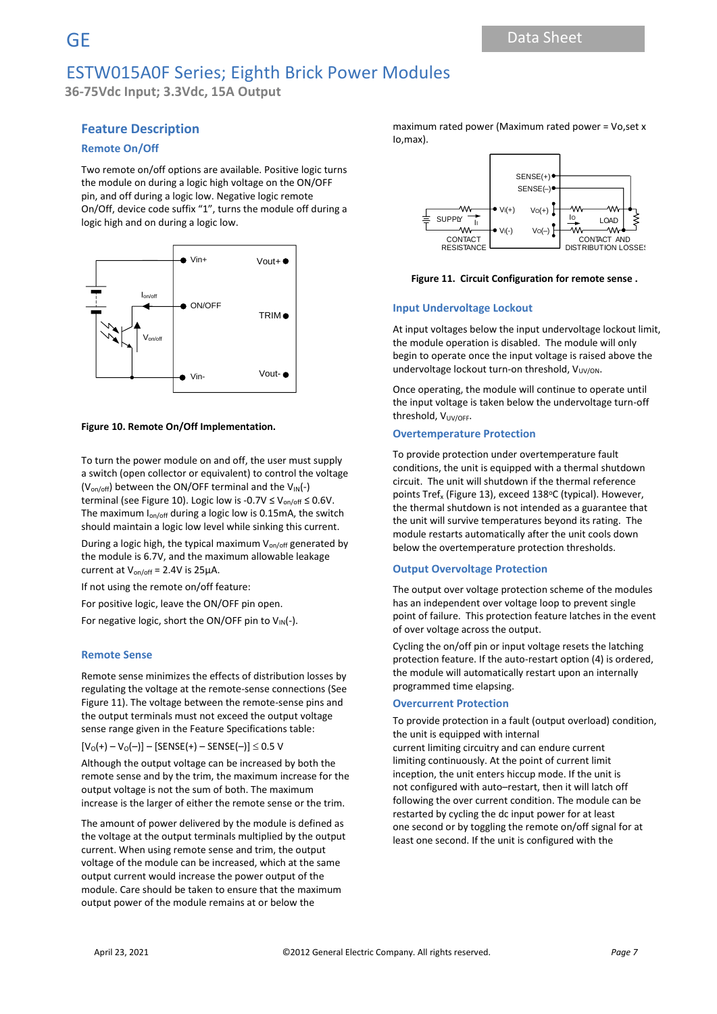**36-75Vdc Input; 3.3Vdc, 15A Output**

### **Feature Description**

#### **Remote On/Off**

Two remote on/off options are available. Positive logic turns the module on during a logic high voltage on the ON/OFF pin, and off during a logic low. Negative logic remote On/Off, device code suffix "1", turns the module off during a logic high and on during a logic low.



#### **Figure 10. Remote On/Off Implementation.**

To turn the power module on and off, the user must supply a switch (open collector or equivalent) to control the voltage  $(V_{on/off})$  between the ON/OFF terminal and the  $V_{IN}(-)$ terminal (see Figure 10). Logic low is -0.7V  $\leq$  V<sub>on/off</sub>  $\leq$  0.6V. The maximum  $I_{on/off}$  during a logic low is 0.15mA, the switch should maintain a logic low level while sinking this current.

During a logic high, the typical maximum V<sub>on/off</sub> generated by the module is 6.7V, and the maximum allowable leakage current at  $V_{on/off}$  = 2.4V is 25 $\mu$ A.

If not using the remote on/off feature:

For positive logic, leave the ON/OFF pin open.

For negative logic, short the ON/OFF pin to  $V_{\text{IN}}(-)$ .

#### **Remote Sense**

Remote sense minimizes the effects of distribution losses by regulating the voltage at the remote-sense connections (See Figure 11). The voltage between the remote-sense pins and the output terminals must not exceed the output voltage sense range given in the Feature Specifications table:

 $[V_0(+) - V_0(-)] -$  [SENSE(+) – SENSE(-)]  $\leq$  0.5 V

Although the output voltage can be increased by both the remote sense and by the trim, the maximum increase for the output voltage is not the sum of both. The maximum increase is the larger of either the remote sense or the trim.

The amount of power delivered by the module is defined as the voltage at the output terminals multiplied by the output current. When using remote sense and trim, the output voltage of the module can be increased, which at the same output current would increase the power output of the module. Care should be taken to ensure that the maximum output power of the module remains at or below the

maximum rated power (Maximum rated power = Vo,set x Io,max).



**Figure 11. Circuit Configuration for remote sense .**

#### **Input Undervoltage Lockout**

At input voltages below the input undervoltage lockout limit, the module operation is disabled. The module will only begin to operate once the input voltage is raised above the undervoltage lockout turn-on threshold,  $V_{UV/ON}$ .

Once operating, the module will continue to operate until the input voltage is taken below the undervoltage turn-off threshold, V<sub>UV/OFF</sub>.

#### **Overtemperature Protection**

To provide protection under overtemperature fault conditions, the unit is equipped with a thermal shutdown circuit. The unit will shutdown if the thermal reference points Tref<sub>x</sub> (Figure 13), exceed 138°C (typical). However, the thermal shutdown is not intended as a guarantee that the unit will survive temperatures beyond its rating. The module restarts automatically after the unit cools down below the overtemperature protection thresholds.

#### **Output Overvoltage Protection**

The output over voltage protection scheme of the modules has an independent over voltage loop to prevent single point of failure. This protection feature latches in the event of over voltage across the output.

Cycling the on/off pin or input voltage resets the latching protection feature. If the auto-restart option (4) is ordered, the module will automatically restart upon an internally programmed time elapsing.

#### **Overcurrent Protection**

To provide protection in a fault (output overload) condition, the unit is equipped with internal

current limiting circuitry and can endure current limiting continuously. At the point of current limit inception, the unit enters hiccup mode. If the unit is not configured with auto–restart, then it will latch off following the over current condition. The module can be restarted by cycling the dc input power for at least one second or by toggling the remote on/off signal for at least one second. If the unit is configured with the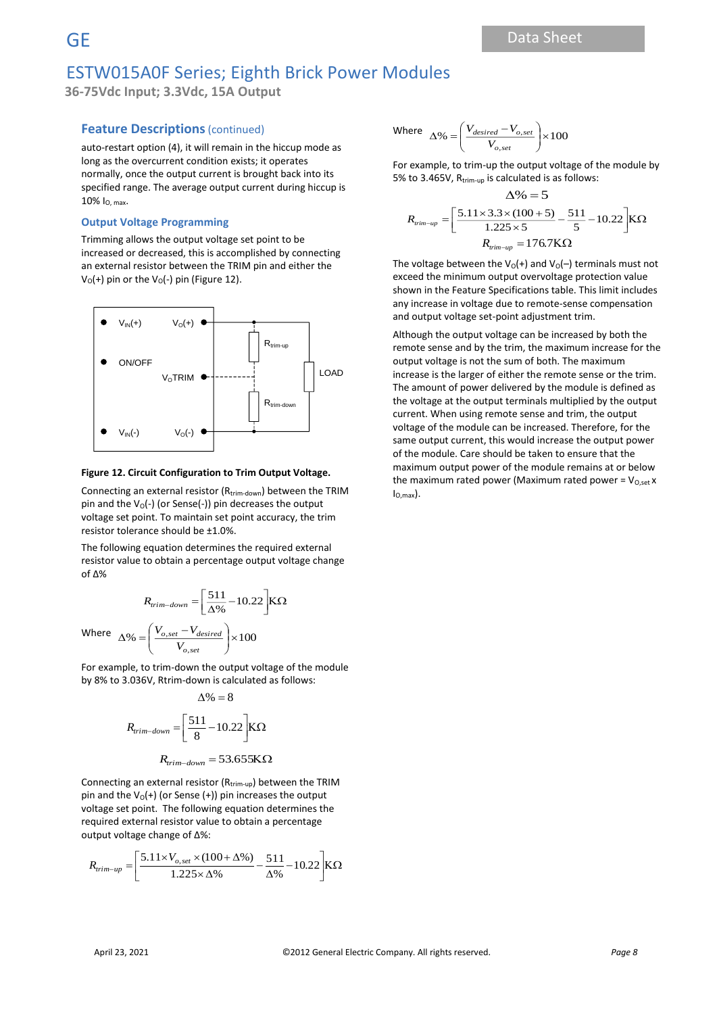**36-75Vdc Input; 3.3Vdc, 15A Output**

#### **Feature Descriptions** (continued)

auto-restart option (4), it will remain in the hiccup mode as long as the overcurrent condition exists; it operates normally, once the output current is brought back into its specified range. The average output current during hiccup is 10% IO, max.

#### **Output Voltage Programming**

Trimming allows the output voltage set point to be increased or decreased, this is accomplished by connecting an external resistor between the TRIM pin and either the  $V_0$ (+) pin or the  $V_0$ (-) pin (Figure 12).



#### **Figure 12. Circuit Configuration to Trim Output Voltage.**

Connecting an external resistor (Rtrim-down) between the TRIM pin and the  $V_0$ (-) (or Sense(-)) pin decreases the output voltage set point. To maintain set point accuracy, the trim resistor tolerance should be ±1.0%.

The following equation determines the required external resistor value to obtain a percentage output voltage change of Δ%

$$
R_{trim-down} = \left[\frac{511}{\Delta\%} - 10.22\right] \text{K}\Omega
$$

λ

Where  $\Delta\% = \left| \frac{V_{o,set} - V_{desired}}{V_{o,set}} \right| \times 100$  $\frac{1}{V_{o,set}}$   $\times$  $\mathsf{I}$ L  $\Delta\% = \left(\frac{V_{o,set}}{V}\right)$ *o set <sup>o</sup> set desired V*  $V_{\text{2, rest}} - V_{\text{2}}$ 

For example, to trim-down the output voltage of the module by 8% to 3.036V, Rtrim-down is calculated as follows:  $\Lambda$  0/ =  $\Omega$ 

$$
R_{trim-down} = \left[\frac{511}{8} - 10.22\right] K\Omega
$$

$$
R_{trim-down} = 53.655 \text{K}\Omega
$$

Connecting an external resistor ( $R_{trim-up}$ ) between the TRIM pin and the  $V_0(+)$  (or Sense  $(+)$ ) pin increases the output voltage set point. The following equation determines the required external resistor value to obtain a percentage output voltage change of Δ%:

$$
R_{trim-up} = \left[ \frac{5.11 \times V_{o,set} \times (100 + \Delta\%)}{1.225 \times \Delta\%} - \frac{511}{\Delta\%} - 10.22 \right] \text{K}\Omega
$$

Where 
$$
\Delta\% = \left(\frac{V_{desired} - V_{o,set}}{V_{o,set}}\right) \times 100
$$

For example, to trim-up the output voltage of the module by 5% to 3.465V, R<sub>trim-up</sub> is calculated is as follows:

$$
\Delta\% = 5
$$
  

$$
R_{rim-up} = \left[\frac{5.11 \times 3.3 \times (100 + 5)}{1.225 \times 5} - \frac{511}{5} - 10.22\right] K\Omega
$$
  

$$
R_{rim-up} = 176.7 K\Omega
$$

The voltage between the  $V_0(+)$  and  $V_0(-)$  terminals must not exceed the minimum output overvoltage protection value shown in the Feature Specifications table. This limit includes any increase in voltage due to remote-sense compensation and output voltage set-point adjustment trim.

Although the output voltage can be increased by both the remote sense and by the trim, the maximum increase for the output voltage is not the sum of both. The maximum increase is the larger of either the remote sense or the trim. The amount of power delivered by the module is defined as the voltage at the output terminals multiplied by the output current. When using remote sense and trim, the output voltage of the module can be increased. Therefore, for the same output current, this would increase the output power of the module. Care should be taken to ensure that the maximum output power of the module remains at or below the maximum rated power (Maximum rated power =  $V_{O,set}$  x  $I_{O,max}$ ).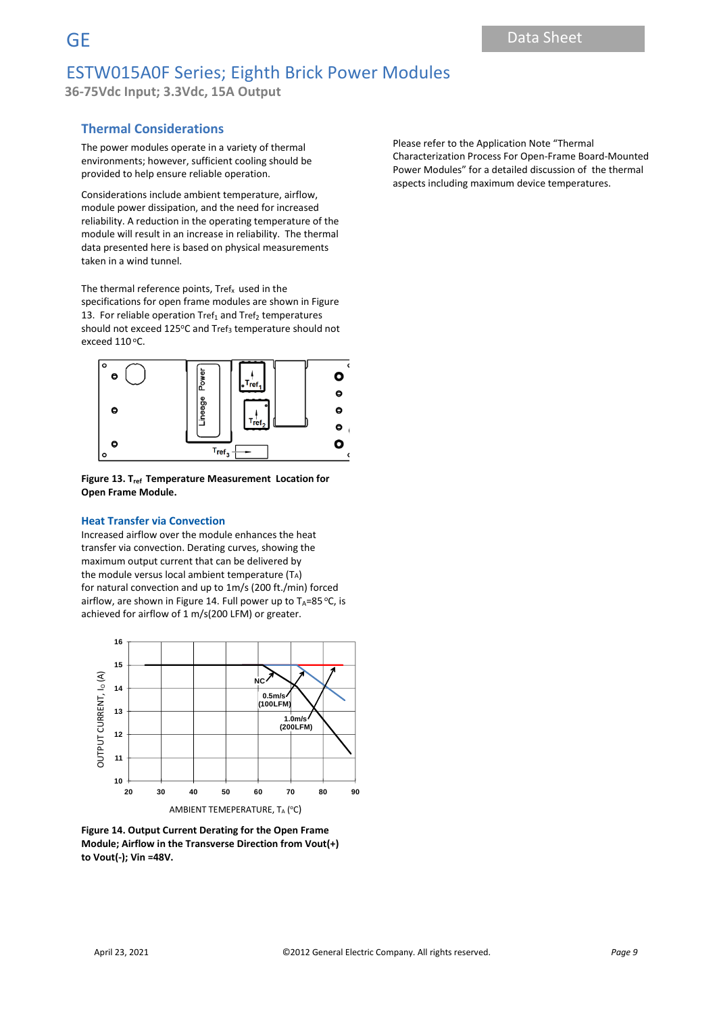**36-75Vdc Input; 3.3Vdc, 15A Output**

### **Thermal Considerations**

The power modules operate in a variety of thermal environments; however, sufficient cooling should be provided to help ensure reliable operation.

Considerations include ambient temperature, airflow, module power dissipation, and the need for increased reliability. A reduction in the operating temperature of the module will result in an increase in reliability. The thermal data presented here is based on physical measurements taken in a wind tunnel.

The thermal reference points,  $Tref_x$  used in the specifications for open frame modules are shown in Figure 13. For reliable operation  $Tref_1$  and  $Tref_2$  temperatures should not exceed 125°C and Tref<sub>3</sub> temperature should not exceed  $110^{\circ}$ C.



**Figure 13. Tref Temperature Measurement Location for Open Frame Module.**

#### **Heat Transfer via Convection**

Increased airflow over the module enhances the heat transfer via convection. Derating curves, showing the maximum output current that can be delivered by the module versus local ambient temperature (TA) for natural convection and up to 1m/s (200 ft./min) forced airflow, are shown in Figure 14. Full power up to  $T_A=85$  °C, is achieved for airflow of 1 m/s(200 LFM) or greater.



**Figure 14. Output Current Derating for the Open Frame Module; Airflow in the Transverse Direction from Vout(+) to Vout(-); Vin =48V.**

Please refer to the Application Note "Thermal Characterization Process For Open-Frame Board-Mounted Power Modules" for a detailed discussion of the thermal aspects including maximum device temperatures.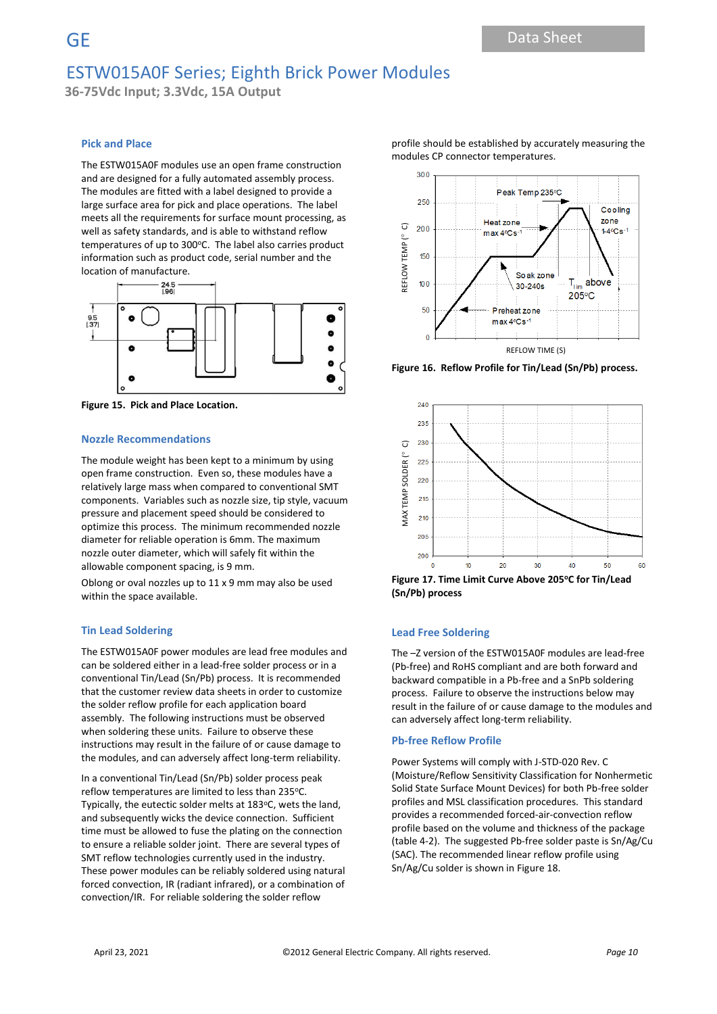**36-75Vdc Input; 3.3Vdc, 15A Output**

#### **Pick and Place**

The ESTW015A0F modules use an open frame construction and are designed for a fully automated assembly process. The modules are fitted with a label designed to provide a large surface area for pick and place operations. The label meets all the requirements for surface mount processing, as well as safety standards, and is able to withstand reflow temperatures of up to 300°C. The label also carries product information such as product code, serial number and the location of manufacture.



**Figure 15. Pick and Place Location.**

#### **Nozzle Recommendations**

The module weight has been kept to a minimum by using open frame construction. Even so, these modules have a relatively large mass when compared to conventional SMT components. Variables such as nozzle size, tip style, vacuum pressure and placement speed should be considered to optimize this process. The minimum recommended nozzle diameter for reliable operation is 6mm. The maximum nozzle outer diameter, which will safely fit within the allowable component spacing, is 9 mm.

Oblong or oval nozzles up to 11 x 9 mm may also be used within the space available.

#### **Tin Lead Soldering**

The ESTW015A0F power modules are lead free modules and can be soldered either in a lead-free solder process or in a conventional Tin/Lead (Sn/Pb) process. It is recommended that the customer review data sheets in order to customize the solder reflow profile for each application board assembly. The following instructions must be observed when soldering these units. Failure to observe these instructions may result in the failure of or cause damage to the modules, and can adversely affect long-term reliability.

In a conventional Tin/Lead (Sn/Pb) solder process peak reflow temperatures are limited to less than 235°C. Typically, the eutectic solder melts at 183°C, wets the land, and subsequently wicks the device connection. Sufficient time must be allowed to fuse the plating on the connection to ensure a reliable solder joint. There are several types of SMT reflow technologies currently used in the industry. These power modules can be reliably soldered using natural forced convection, IR (radiant infrared), or a combination of convection/IR. For reliable soldering the solder reflow

profile should be established by accurately measuring the modules CP connector temperatures.



**Figure 16. Reflow Profile for Tin/Lead (Sn/Pb) process.**



**Figure 17. Time Limit Curve Above 205<sup>o</sup>C for Tin/Lead (Sn/Pb) process**

#### **Lead Free Soldering**

The –Z version of the ESTW015A0F modules are lead-free (Pb-free) and RoHS compliant and are both forward and backward compatible in a Pb-free and a SnPb soldering process. Failure to observe the instructions below may result in the failure of or cause damage to the modules and can adversely affect long-term reliability.

#### **Pb-free Reflow Profile**

Power Systems will comply with J-STD-020 Rev. C (Moisture/Reflow Sensitivity Classification for Nonhermetic Solid State Surface Mount Devices) for both Pb-free solder profiles and MSL classification procedures. This standard provides a recommended forced-air-convection reflow profile based on the volume and thickness of the package (table 4-2). The suggested Pb-free solder paste is Sn/Ag/Cu (SAC). The recommended linear reflow profile using Sn/Ag/Cu solder is shown in Figure 18.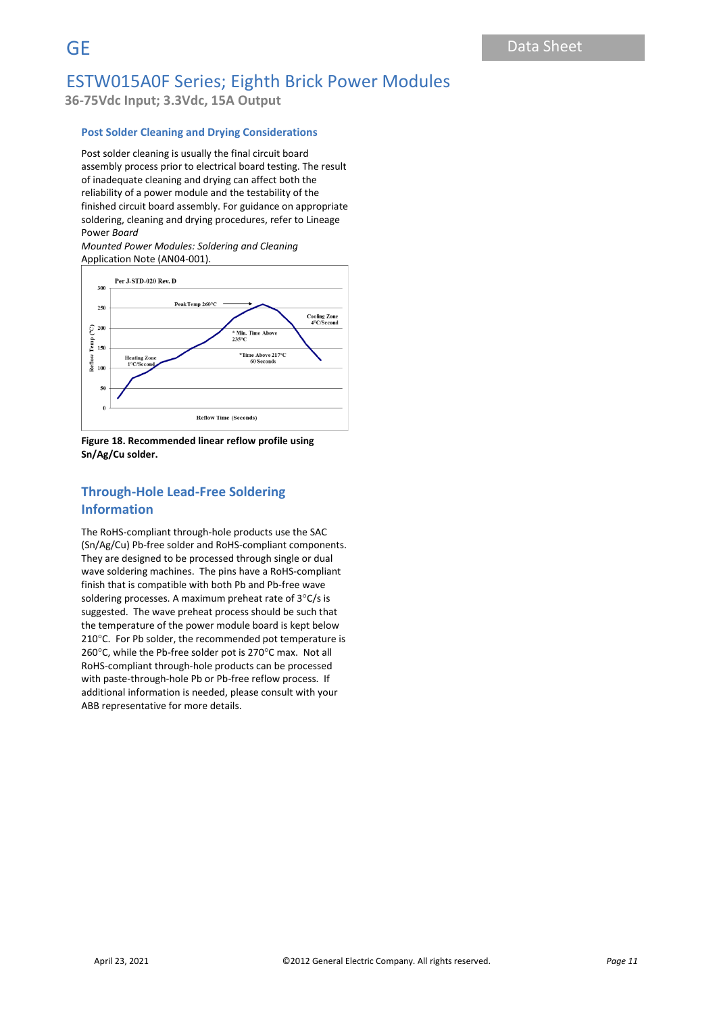**36-75Vdc Input; 3.3Vdc, 15A Output**

#### **Post Solder Cleaning and Drying Considerations**

Post solder cleaning is usually the final circuit board assembly process prior to electrical board testing. The result of inadequate cleaning and drying can affect both the reliability of a power module and the testability of the finished circuit board assembly. For guidance on appropriate soldering, cleaning and drying procedures, refer to Lineage Power *Board* 

*Mounted Power Modules: Soldering and Cleaning* Application Note (AN04-001).



**Figure 18. Recommended linear reflow profile using Sn/Ag/Cu solder.**

### **Through-Hole Lead-Free Soldering Information**

The RoHS-compliant through-hole products use the SAC (Sn/Ag/Cu) Pb-free solder and RoHS-compliant components. They are designed to be processed through single or dual wave soldering machines. The pins have a RoHS-compliant finish that is compatible with both Pb and Pb-free wave soldering processes. A maximum preheat rate of  $3^{\circ}$ C/s is suggested. The wave preheat process should be such that the temperature of the power module board is kept below 210°C. For Pb solder, the recommended pot temperature is 260 $^{\circ}$ C, while the Pb-free solder pot is 270 $^{\circ}$ C max. Not all RoHS-compliant through-hole products can be processed with paste-through-hole Pb or Pb-free reflow process. If additional information is needed, please consult with your ABB representative for more details.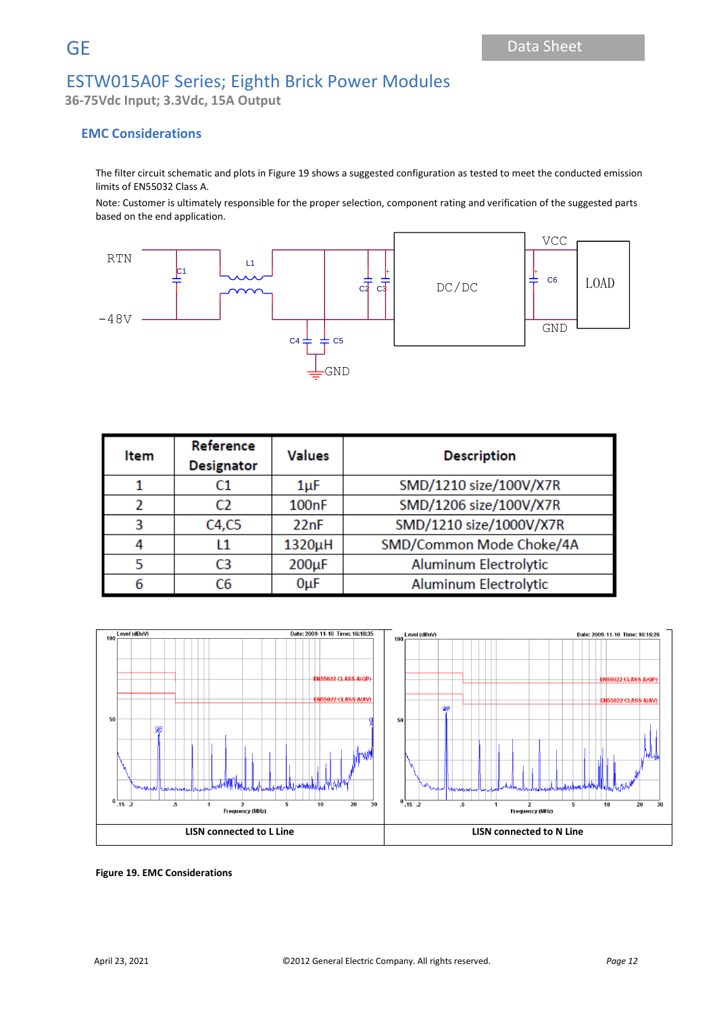**36-75Vdc Input; 3.3Vdc, 15A Output**

### **EMC Considerations**

The filter circuit schematic and plots in Figure 19 shows a suggested configuration as tested to meet the conducted emission limits of EN55032 Class A.

Note: Customer is ultimately responsible for the proper selection, component rating and verification of the suggested parts based on the end application.



| Item | Reference<br><b>Designator</b> | <b>Values</b>      | <b>Description</b>           |
|------|--------------------------------|--------------------|------------------------------|
|      | C1                             | 1µF                | SMD/1210 size/100V/X7R       |
|      | C <sub>2</sub>                 | 100 <sub>n</sub> F | SMD/1206 size/100V/X7R       |
| 3    | C4, C5                         | 22nF               | SMD/1210 size/1000V/X7R      |
|      | l 1                            | 1320µH             | SMD/Common Mode Choke/4A     |
|      | C3                             | $200\mu F$         | <b>Aluminum Electrolytic</b> |
|      | C6                             | $0\muF$            | <b>Aluminum Electrolytic</b> |



**Figure 19. EMC Considerations**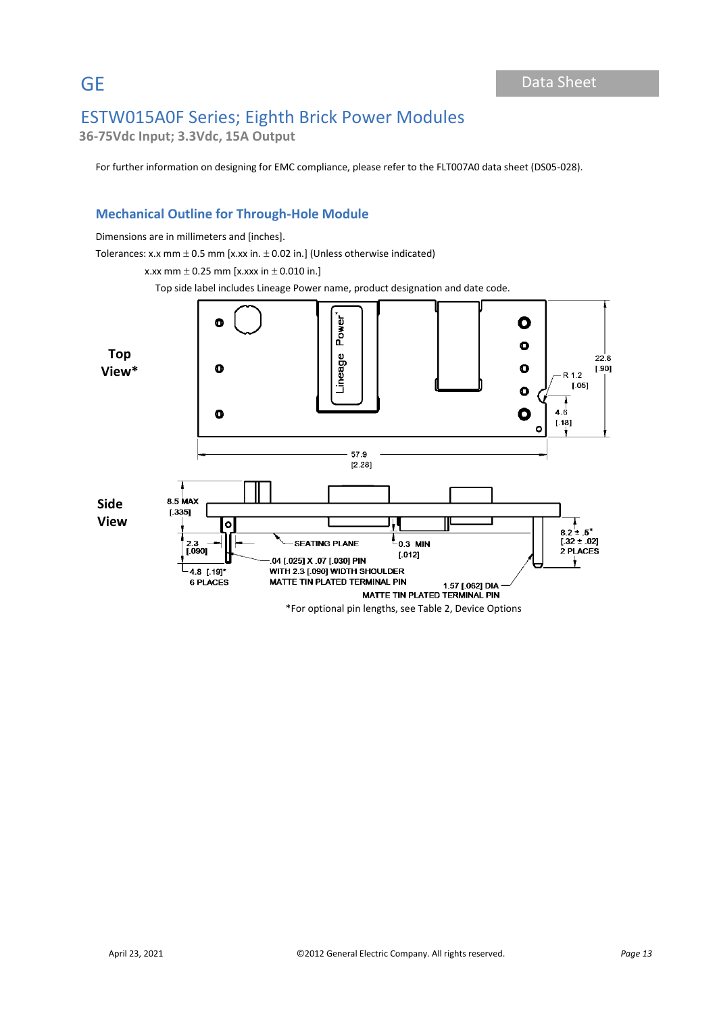**36-75Vdc Input; 3.3Vdc, 15A Output**

For further information on designing for EMC compliance, please refer to the FLT007A0 data sheet (DS05-028).

## **Mechanical Outline for Through-Hole Module**

Dimensions are in millimeters and [inches].

Tolerances: x.x mm  $\pm$  0.5 mm [x.xx in.  $\pm$  0.02 in.] (Unless otherwise indicated)

x.xx mm  $\pm$  0.25 mm [x.xxx in  $\pm$  0.010 in.]

Top side label includes Lineage Power name, product designation and date code.

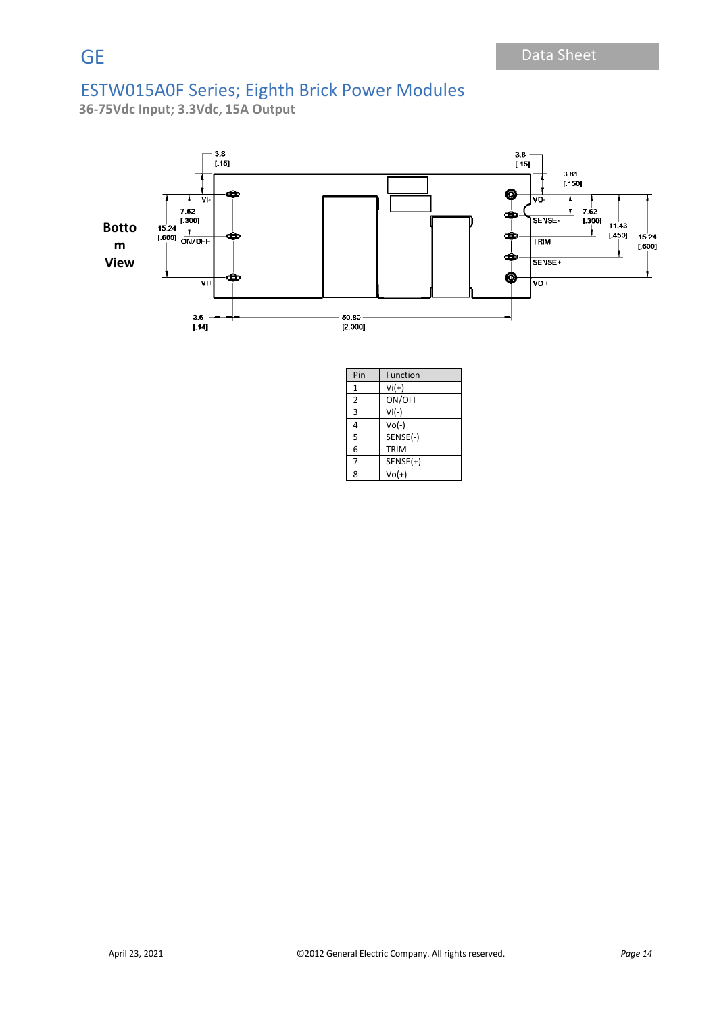**36-75Vdc Input; 3.3Vdc, 15A Output**



| Pin            | Function    |  |  |  |
|----------------|-------------|--|--|--|
| 1              | $Vi(+)$     |  |  |  |
| $\overline{2}$ | ON/OFF      |  |  |  |
| 3              | $Vi(-)$     |  |  |  |
| 4              | $Vol(-)$    |  |  |  |
| 5              | SENSE(-)    |  |  |  |
| 6              | <b>TRIM</b> |  |  |  |
| 7              | $SENSE(+)$  |  |  |  |
| 8              | $Vol(+)$    |  |  |  |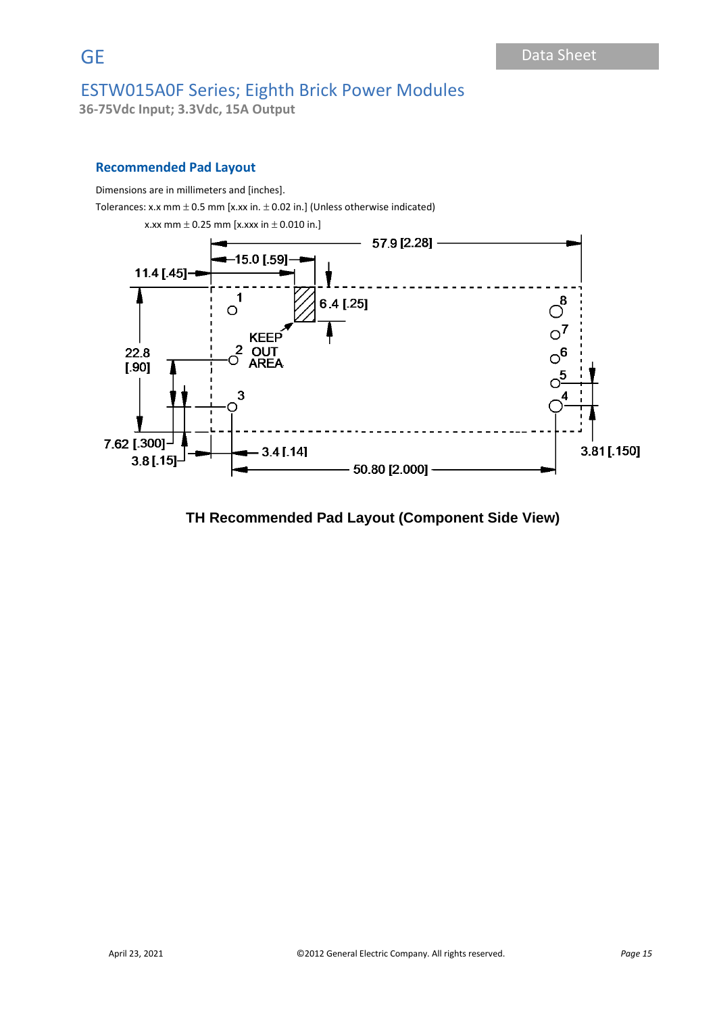**36-75Vdc Input; 3.3Vdc, 15A Output**

### **Recommended Pad Layout**

Dimensions are in millimeters and [inches].

Tolerances: x.x mm  $\pm$  0.5 mm [x.xx in.  $\pm$  0.02 in.] (Unless otherwise indicated)



## **TH Recommended Pad Layout (Component Side View)**